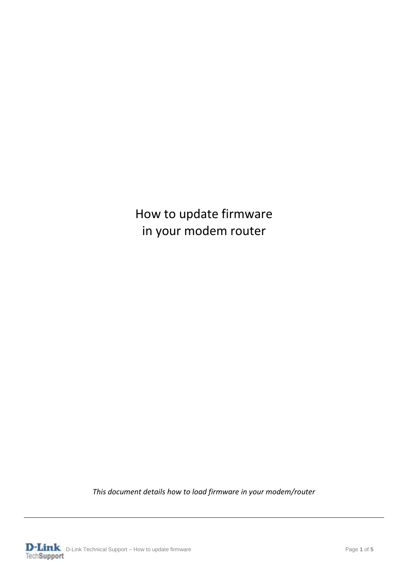## How to update firmware in your modem router

*This document details how to load firmware in your modem/router*

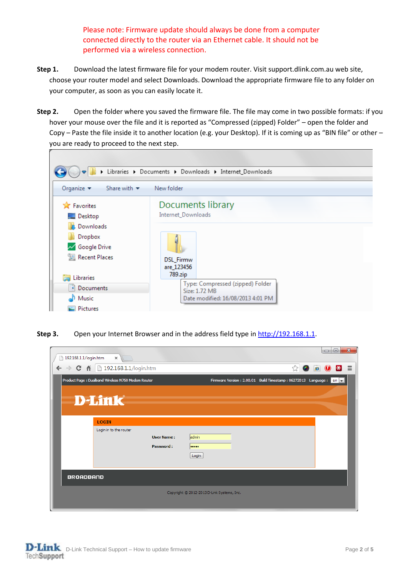Please note: Firmware update should always be done from a computer connected directly to the router via an Ethernet cable. It should not be performed via a wireless connection.

- **Step 1.** Download the latest firmware file for your modem router. Visit support.dlink.com.au web site, choose your router model and select Downloads. Download the appropriate firmware file to any folder on your computer, as soon as you can easily locate it.
- **Step 2.** Open the folder where you saved the firmware file. The file may come in two possible formats: if you hover your mouse over the file and it is reported as "Compressed (zipped) Folder" – open the folder and Copy – Paste the file inside it to another location (e.g. your Desktop). If it is coming up as "BIN file" or other – you are ready to proceed to the next step.



**Step 3.** Open your Internet Browser and in the address field type i[n http://192.168.1.1.](http://192.168.1.1/)

| 192.168.1.1/login.htm                      | $\mathbf{x}$<br>$\Box$<br>$\Box$<br>$\times$                                                                               |  |  |  |  |  |
|--------------------------------------------|----------------------------------------------------------------------------------------------------------------------------|--|--|--|--|--|
|                                            | $\leftarrow$ $\rightarrow$ C $\land$ 192.168.1.1/login.htm<br>☆<br>$\bullet$<br>$B \equiv$<br>$\bigcirc$<br>$\bullet$      |  |  |  |  |  |
|                                            | Firmware Version : 2.00.01 Build Timestamp : 06272013 Language : en v<br>Product Page: Dualband Wireless N750 Modem Router |  |  |  |  |  |
|                                            | <b>D-Link</b>                                                                                                              |  |  |  |  |  |
|                                            |                                                                                                                            |  |  |  |  |  |
|                                            | <b>LOGIN</b>                                                                                                               |  |  |  |  |  |
|                                            | Login in to the router<br>admin<br><b>User Name:</b><br>Password:<br><br>Login                                             |  |  |  |  |  |
| <b>BROADBAND</b>                           |                                                                                                                            |  |  |  |  |  |
| Copyright © 2012-2013 D-Link Systems, Inc. |                                                                                                                            |  |  |  |  |  |

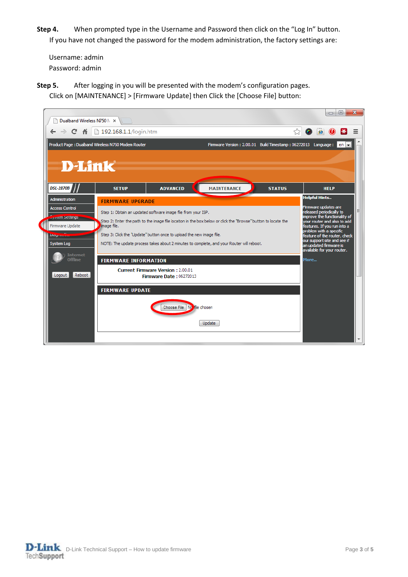**Step 4.** When prompted type in the Username and Password then click on the "Log In" button. If you have not changed the password for the modem administration, the factory settings are:

Username: admin Password: admin

**Step 5.** After logging in you will be presented with the modem's configuration pages. Click on [MAINTENANCE] > [Firmware Update] then Click the [Choose File] button:



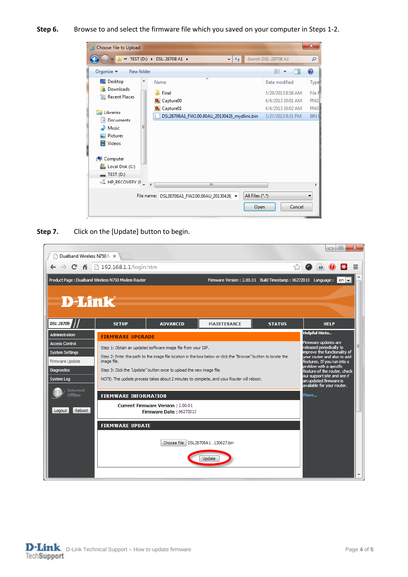**Step 6.** Browse to and select the firmware file which you saved on your computer in Steps 1-2.



**Step 7.** Click on the [Update] button to begin.

| Dualband Wireless N750 M X            |                                                                                          |                                                                                                               |                    |                                                               | ▣<br>$\Box$                                                 | $\mathbf{x}$ |
|---------------------------------------|------------------------------------------------------------------------------------------|---------------------------------------------------------------------------------------------------------------|--------------------|---------------------------------------------------------------|-------------------------------------------------------------|--------------|
| 作<br>C                                | 192.168.1.1/login.htm                                                                    |                                                                                                               |                    | ☆                                                             | Æ                                                           |              |
|                                       | Product Page: Dualband Wireless N750 Modem Router                                        |                                                                                                               |                    | Firmware Version: 2.00.01 Build Timestamp: 06272013 Language: | l en l⊯i                                                    |              |
|                                       |                                                                                          |                                                                                                               |                    |                                                               |                                                             |              |
| <b>D-Link</b>                         |                                                                                          |                                                                                                               |                    |                                                               |                                                             |              |
|                                       |                                                                                          |                                                                                                               |                    |                                                               |                                                             |              |
| <b>DSL-2870B</b>                      | <b>SETUP</b>                                                                             | <b>ADVANCED</b>                                                                                               | <b>MAINTENANCE</b> | <b>STATUS</b>                                                 | <b>HELP</b>                                                 |              |
| <b>Administration</b>                 | <b>FIRMWARE UPGRADE</b>                                                                  |                                                                                                               |                    |                                                               | <b>Helpful Hints</b>                                        |              |
| <b>Access Control</b>                 |                                                                                          | Step 1: Obtain an updated software image file from your ISP.                                                  |                    |                                                               | Firmware updates are<br>released periodically to            | Ε            |
| <b>System Settings</b>                |                                                                                          | Step 2: Enter the path to the image file location in the box below or click the "Browse" button to locate the |                    |                                                               | improve the functionality of<br>vour router and also to add |              |
| Firmware Update<br><b>Diagnostics</b> | image file.                                                                              | Step 3: Click the "Update" button once to upload the new image file.                                          |                    |                                                               | features. If you run into a<br>problem with a specific      |              |
| <b>System Log</b>                     | NOTE: The update process takes about 2 minutes to complete, and your Router will reboot. | feature of the router, check<br>our support site and see if<br>an updated firmware is                         |                    |                                                               |                                                             |              |
| <b>Internet</b>                       |                                                                                          |                                                                                                               |                    |                                                               | available for your router.                                  |              |
| Offline                               | <b>FIRMWARE INFORMATION</b>                                                              |                                                                                                               |                    |                                                               | More                                                        |              |
| Reboot<br>Logout                      |                                                                                          | <b>Current Firmware Version: 2.00.01</b><br>Firmware Date: 06272013                                           |                    |                                                               |                                                             |              |
|                                       |                                                                                          |                                                                                                               |                    |                                                               |                                                             |              |
|                                       | <b>FIRMWARE UPDATE</b><br>Choose File<br>DSL2870BA1130627.bin                            |                                                                                                               |                    |                                                               |                                                             |              |
|                                       |                                                                                          |                                                                                                               |                    |                                                               |                                                             |              |
|                                       |                                                                                          |                                                                                                               |                    |                                                               |                                                             |              |
|                                       |                                                                                          |                                                                                                               |                    |                                                               |                                                             |              |
|                                       |                                                                                          |                                                                                                               |                    |                                                               |                                                             |              |